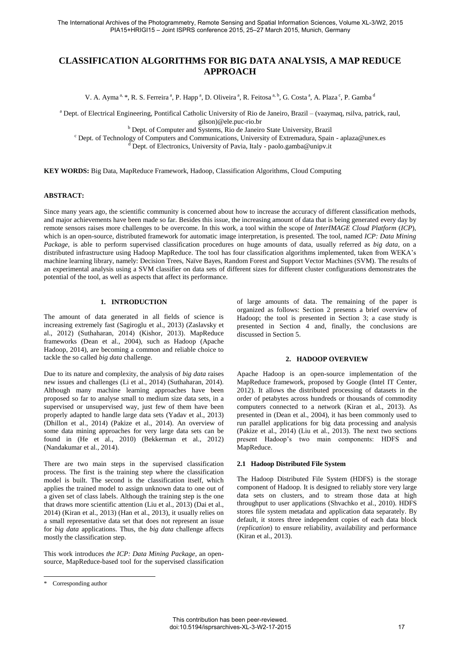# **CLASSIFICATION ALGORITHMS FOR BIG DATA ANALYSIS, A MAP REDUCE APPROACH**

V. A. Ayma<sup>a, \*</sup>, R. S. Ferreira<sup>a</sup>, P. Happ<sup>a</sup>, D. Oliveira<sup>a</sup>, R. Feitosa<sup>a, b</sup>, G. Costa<sup>a</sup>, A. Plaza<sup>c</sup>, P. Gamba<sup>d</sup>

a Dept. of Electrical Engineering, Pontifical Catholic University of Rio de Janeiro, Brazil – (vaaymaq, rsilva, patrick, raul,

gilson)@ele.puc-rio.br

b Dept. of Computer and Systems, Rio de Janeiro State University, Brazil

<sup>c</sup> Dept. of Technology of Computers and Communications, University of Extremadura, Spain - aplaza@unex.es

<sup>d</sup> Dept. of Electronics, University of Pavia, Italy - paolo.gamba@unipv.it

**KEY WORDS:** Big Data, MapReduce Framework, Hadoop, Classification Algorithms, Cloud Computing

#### **ABSTRACT:**

Since many years ago, the scientific community is concerned about how to increase the accuracy of different classification methods, and major achievements have been made so far. Besides this issue, the increasing amount of data that is being generated every day by remote sensors raises more challenges to be overcome. In this work, a tool within the scope of *InterIMAGE Cloud Platform* (*ICP*), which is an open-source, distributed framework for automatic image interpretation, is presented. The tool, named *ICP: Data Mining Package*, is able to perform supervised classification procedures on huge amounts of data, usually referred as *big data,* on a distributed infrastructure using Hadoop MapReduce. The tool has four classification algorithms implemented, taken from WEKA's machine learning library, namely: Decision Trees, Naïve Bayes, Random Forest and Support Vector Machines (SVM). The results of an experimental analysis using a SVM classifier on data sets of different sizes for different cluster configurations demonstrates the potential of the tool, as well as aspects that affect its performance.

## **1. INTRODUCTION**

The amount of data generated in all fields of science is increasing extremely fast (Sagiroglu et al., 2013) (Zaslavsky et al., 2012) (Suthaharan, 2014) (Kishor, 2013). MapReduce frameworks (Dean et al., 2004), such as Hadoop (Apache Hadoop, 2014), are becoming a common and reliable choice to tackle the so called *big data* challenge.

Due to its nature and complexity, the analysis of *big data* raises new issues and challenges (Li et al., 2014) (Suthaharan, 2014). Although many machine learning approaches have been proposed so far to analyse small to medium size data sets, in a supervised or unsupervised way, just few of them have been properly adapted to handle large data sets (Yadav et al., 2013) (Dhillon et al., 2014) (Pakize et al., 2014). An overview of some data mining approaches for very large data sets can be found in (He et al., 2010) (Bekkerman et al., 2012) (Nandakumar et al., 2014).

There are two main steps in the supervised classification process. The first is the training step where the classification model is built. The second is the classification itself, which applies the trained model to assign unknown data to one out of a given set of class labels. Although the training step is the one that draws more scientific attention (Liu et al., 2013) (Dai et al., 2014) (Kiran et al., 2013) (Han et al., 2013), it usually relies on a small representative data set that does not represent an issue for *big data* applications. Thus, the *big data* challenge affects mostly the classification step.

This work introduces *the ICP: Data Mining Package*, an opensource, MapReduce-based tool for the supervised classification

 $\overline{a}$ 

of large amounts of data. The remaining of the paper is organized as follows: Section 2 presents a brief overview of Hadoop; the tool is presented in Section 3; a case study is presented in Section 4 and, finally, the conclusions are discussed in Section 5.

#### **2. HADOOP OVERVIEW**

Apache Hadoop is an open-source implementation of the MapReduce framework, proposed by Google (Intel IT Center, 2012). It allows the distributed processing of datasets in the order of petabytes across hundreds or thousands of commodity computers connected to a network (Kiran et al., 2013). As presented in (Dean et al., 2004), it has been commonly used to run parallel applications for big data processing and analysis (Pakize et al., 2014) (Liu et al., 2013). The next two sections present Hadoop's two main components: HDFS and MapReduce.

#### **2.1 Hadoop Distributed File System**

The Hadoop Distributed File System (HDFS) is the storage component of Hadoop. It is designed to reliably store very large data sets on clusters, and to stream those data at high throughput to user applications (Shvachko et al., 2010). HDFS stores file system metadata and application data separately. By default, it stores three independent copies of each data block (*replication*) to ensure reliability, availability and performance (Kiran et al., 2013).

<sup>\*</sup> Corresponding author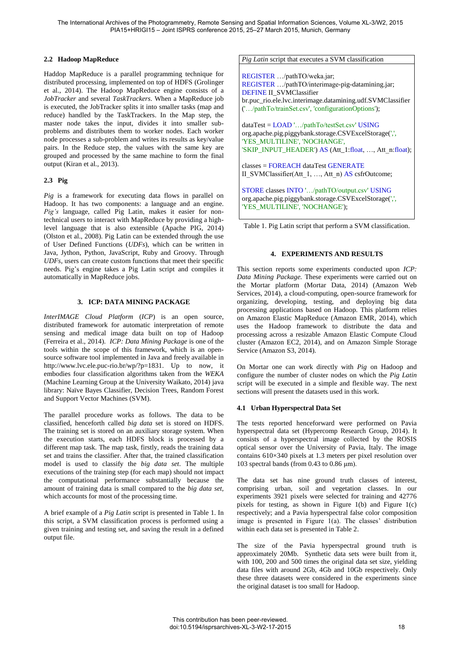## **2.2 Hadoop MapReduce**

Haddop MapReduce is a parallel programming technique for distributed processing, implemented on top of HDFS (Grolinger et al., 2014). The Hadoop MapReduce engine consists of a *JobTracker* and several *TaskTrackers*. When a MapReduce job is executed, the JobTracker splits it into smaller tasks (map and reduce) handled by the TaskTrackers. In the Map step, the master node takes the input, divides it into smaller subproblems and distributes them to worker nodes. Each worker node processes a sub-problem and writes its results as key/value pairs. In the Reduce step, the values with the same key are grouped and processed by the same machine to form the final output (Kiran et al., 2013).

## **2.3 Pig**

*Pig* is a framework for executing data flows in parallel on Hadoop. It has two components: a language and an engine. *Pig's* language, called Pig Latin, makes it easier for nontechnical users to interact with MapReduce by providing a highlevel language that is also extensible (Apache PIG, 2014) (Olston et al., 2008). Pig Latin can be extended through the use of User Defined Functions (*UDFs*), which can be written in Java, Jython, Python, JavaScript, Ruby and Groovy. Through *UDFs*, users can create custom functions that meet their specific needs. Pig's engine takes a Pig Latin script and compiles it automatically in MapReduce jobs.

## **3. ICP: DATA MINING PACKAGE**

*InterIMAGE Cloud Platform* (*ICP*) is an open source, distributed framework for automatic interpretation of remote sensing and medical image data built on top of Hadoop (Ferreira et al., 2014). *ICP: Data Mining Package* is one of the tools within the scope of this framework, which is an opensource software tool implemented in Java and freely available in http://www.lvc.ele.puc-rio.br/wp/?p=1831. Up to now, it embodies four classification algorithms taken from the *WEKA* (Machine Learning Group at the University Waikato, 2014) java library: Naïve Bayes Classifier, Decision Trees, Random Forest and Support Vector Machines (SVM).

The parallel procedure works as follows. The data to be classified, henceforth called *big data* set is stored on HDFS. The training set is stored on an auxiliary storage system. When the execution starts, each HDFS block is processed by a different map task. The map task, firstly, reads the training data set and trains the classifier. After that, the trained classification model is used to classify the *big data set*. The multiple executions of the training step (for each map) should not impact the computational performance substantially because the amount of training data is small compared to the *big data set,* which accounts for most of the processing time.

A brief example of a *Pig Latin* script is presented in Table 1. In this script, a SVM classification process is performed using a given training and testing set, and saving the result in a defined output file.

### *Pig Latin* script that executes a SVM classification

REGISTER …/pathTO/weka.jar; REGISTER …/pathTO/interimage-pig-datamining.jar; DEFINE II\_SVMClassifier br.puc\_rio.ele.lvc.interimage.datamining.udf.SVMClassifier ('…/pathTo/trainSet.csv', 'configurationOptions');

dataTest = LOAD '…/pathTo/testSet.csv' USING org.apache.pig.piggybank.storage.CSVExcelStorage(',', 'YES\_MULTILINE', 'NOCHANGE', 'SKIP\_INPUT\_HEADER') AS (Att\_1:float, ..., Att\_n:float);

classes = FOREACH dataTest GENERATE II\_SVMClassifier(Att\_1, …, Att\_n) AS csfrOutcome;

STORE classes INTO '…/pathTO/output.csv' USING org.apache.pig.piggybank.storage.CSVExcelStorage(',', 'YES\_MULTILINE', 'NOCHANGE');

Table 1. Pig Latin script that perform a SVM classification.

## **4. EXPERIMENTS AND RESULTS**

This section reports some experiments conducted upon *ICP: Data Mining Package.* These experiments were carried out on the Mortar platform (Mortar Data, 2014) (Amazon Web Services, 2014), a cloud-computing, open-source framework for organizing, developing, testing, and deploying big data processing applications based on Hadoop. This platform relies on Amazon Elastic MapReduce (Amazon EMR, 2014), which uses the Hadoop framework to distribute the data and processing across a resizable Amazon Elastic Compute Cloud cluster (Amazon EC2, 2014), and on Amazon Simple Storage Service (Amazon S3, 2014).

On Mortar one can work directly with *Pig* on Hadoop and configure the number of cluster nodes on which the *Pig Latin* script will be executed in a simple and flexible way. The next sections will present the datasets used in this work.

## **4.1 Urban Hyperspectral Data Set**

The tests reported henceforward were performed on Pavia hyperspectral data set (Hypercomp Research Group, 2014). It consists of a hyperspectral image collected by the ROSIS optical sensor over the University of Pavia, Italy. The image contains 610×340 pixels at 1.3 meters per pixel resolution over 103 spectral bands (from 0.43 to 0.86 μm).

The data set has nine ground truth classes of interest, comprising urban, soil and vegetation classes. In our experiments 3921 pixels were selected for training and 42776 pixels for testing, as shown in Figure 1(b) and Figure 1(c) respectively; and a Pavia hyperspectral false color composition image is presented in Figure 1(a). The classes' distribution within each data set is presented in Table 2.

The size of the Pavia hyperspectral ground truth is approximately 20Mb. Synthetic data sets were built from it, with 100, 200 and 500 times the original data set size, yielding data files with around 2Gb, 4Gb and 10Gb respectively. Only these three datasets were considered in the experiments since the original dataset is too small for Hadoop.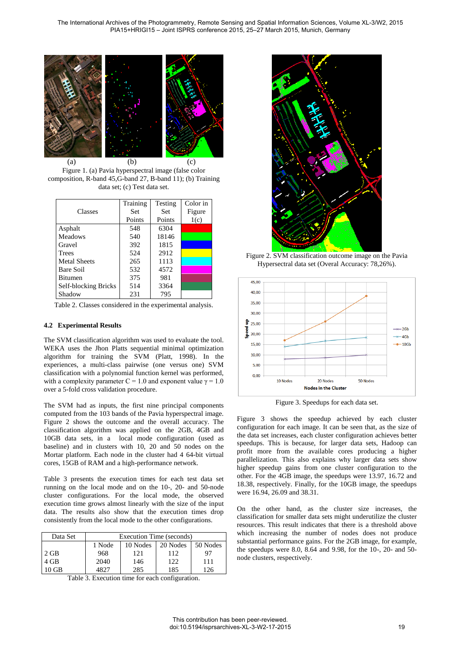

Figure 1. (a) Pavia hyperspectral image (false color composition, R-band 45,G-band 27, B-band 11); (b) Training data set; (c) Test data set.

|                      | Training | Testing    | Color in |
|----------------------|----------|------------|----------|
| Classes              | Set      | <b>Set</b> | Figure   |
|                      | Points   | Points     | 1(c)     |
| Asphalt              | 548      | 6304       |          |
| Meadows              | 540      | 18146      |          |
| Gravel               | 392      | 1815       |          |
| <b>Trees</b>         | 524      | 2912       |          |
| <b>Metal Sheets</b>  | 265      | 1113       |          |
| Bare Soil            | 532      | 4572       |          |
| <b>Bitumen</b>       | 375      | 981        |          |
| Self-blocking Bricks | 514      | 3364       |          |
| Shadow               | 231      | 795        |          |

Table 2. Classes considered in the experimental analysis.

### **4.2 Experimental Results**

The SVM classification algorithm was used to evaluate the tool. WEKA uses the Jhon Platts sequential minimal optimization algorithm for training the SVM (Platt, 1998). In the experiences, a multi-class pairwise (one versus one) SVM classification with a polynomial function kernel was performed, with a complexity parameter C = 1.0 and exponent value  $\gamma = 1.0$ over a 5-fold cross validation procedure.

The SVM had as inputs, the first nine principal components computed from the 103 bands of the Pavia hyperspectral image. Figure 2 shows the outcome and the overall accuracy. The classification algorithm was applied on the 2GB, 4GB and 10GB data sets, in a local mode configuration (used as baseline) and in clusters with 10, 20 and 50 nodes on the Mortar platform. Each node in the cluster had 4 64-bit virtual cores, 15GB of RAM and a high-performance network.

Table 3 presents the execution times for each test data set running on the local mode and on the 10-, 20- and 50-node cluster configurations. For the local mode, the observed execution time grows almost linearly with the size of the input data. The results also show that the execution times drop consistently from the local mode to the other configurations.

| Data Set | Execution Time (seconds) |          |          |          |  |
|----------|--------------------------|----------|----------|----------|--|
|          | 1 Node                   | 10 Nodes | 20 Nodes | 50 Nodes |  |
| $2$ GB   | 968                      | 121      | 112      | 97       |  |
| 4 GB     | 2040                     | 146      | 122      | 111      |  |
| $10$ GB  | 4827                     | 285      | 185      | 126      |  |

Table 3. Execution time for each configuration.



Figure 2. SVM classification outcome image on the Pavia Hypersectral data set (Overal Accuracy: 78,26%).



Figure 3. Speedups for each data set.

Figure 3 shows the speedup achieved by each cluster configuration for each image. It can be seen that, as the size of the data set increases, each cluster configuration achieves better speedups. This is because, for larger data sets, Hadoop can profit more from the available cores producing a higher parallelization. This also explains why larger data sets show higher speedup gains from one cluster configuration to the other. For the 4GB image, the speedups were 13.97, 16.72 and 18.38, respectively. Finally, for the 10GB image, the speedups were 16.94, 26.09 and 38.31.

On the other hand, as the cluster size increases, the classification for smaller data sets might underutilize the cluster resources. This result indicates that there is a threshold above which increasing the number of nodes does not produce substantial performance gains. For the 2GB image, for example, the speedups were 8.0, 8.64 and 9.98, for the 10-, 20- and 50 node clusters, respectively.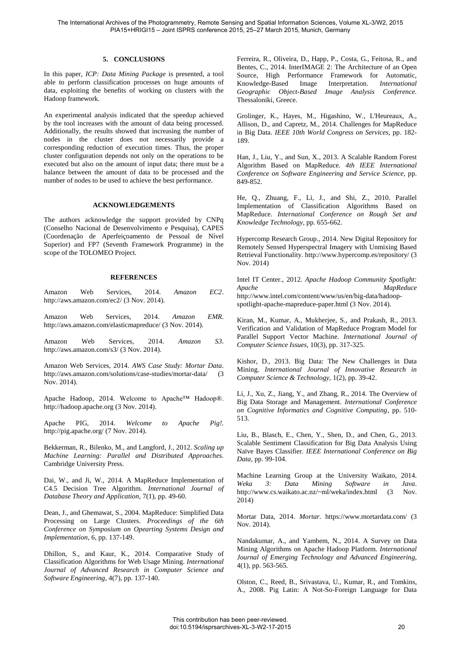#### **5. CONCLUSIONS**

In this paper, *ICP: Data Mining Package* is presented, a tool able to perform classification processes on huge amounts of data, exploiting the benefits of working on clusters with the Hadoop framework.

An experimental analysis indicated that the speedup achieved by the tool increases with the amount of data being processed. Additionally, the results showed that increasing the number of nodes in the cluster does not necessarily provide a corresponding reduction of execution times. Thus, the proper cluster configuration depends not only on the operations to be executed but also on the amount of input data; there must be a balance between the amount of data to be processed and the number of nodes to be used to achieve the best performance.

#### **ACKNOWLEDGEMENTS**

The authors acknowledge the support provided by CNPq (Conselho Nacional de Desenvolvimento e Pesquisa), CAPES (Coordenação de Aperfeiçoamento de Pessoal de Nível Superior) and FP7 (Seventh Framework Programme) in the scope of the TOLOMEO Project.

### **REFERENCES**

Amazon Web Services, 2014. *Amazon EC2*. http://aws.amazon.com/ec2/ (3 Nov. 2014).

Amazon Web Services, 2014. *Amazon EMR*. http://aws.amazon.com/elasticmapreduce/ (3 Nov. 2014).

Amazon Web Services, 2014. *Amazon S3*. http://aws.amazon.com/s3/ (3 Nov. 2014).

Amazon Web Services, 2014. *AWS Case Study: Mortar Data*. http://aws.amazon.com/solutions/case-studies/mortar-data/ (3) Nov. 2014).

Apache Hadoop, 2014. Welcome to Apache™ Hadoop®. http://hadoop.apache.org (3 Nov. 2014).

Apache PIG, 2014. *Welcome to Apache Pig!.* http://pig.apache.org/ (7 Nov. 2014).

Bekkerman, R., Bilenko, M., and Langford, J., 2012. *Scaling up Machine Learning: Parallel and Distributed Approaches.* Cambridge University Press.

Dai, W., and Ji, W., 2014. A MapReduce Implementation of C4.5 Decision Tree Algorithm. *International Journal of Database Theory and Application,* 7(1), pp. 49-60.

Dean, J., and Ghemawat, S., 2004. MapReduce: Simplified Data Processing on Large Clusters. *Proceedings of the 6th Conference on Symposium on Opearting Systems Design and Implementation,* 6, pp. 137-149.

Dhillon, S., and Kaur, K., 2014. Comparative Study of Classification Algorithms for Web Usage Mining. *International Journal of Advanced Research in Computer Science and Software Engineering,* 4(7), pp. 137-140.

Ferreira, R., Oliveira, D., Happ, P., Costa, G., Feitosa, R., and Bentes, C., 2014. InterIMAGE 2: The Architecture of an Open Source, High Performance Framework for Automatic, Knowledge-Based Image Interpretation. *International Geographic Object-Based Image Analysis Conference.* Thessaloniki, Greece.

Grolinger, K., Hayes, M., Higashino, W., L'Heureaux, A., Allison, D., and Capretz, M., 2014. Challenges for MapReduce in Big Data. *IEEE 10th World Congress on Services*, pp. 182- 189.

Han, J., Liu, Y., and Sun, X., 2013. A Scalable Random Forest Algorithm Based on MapReduce. *4th IEEE International Conference on Software Engineering and Service Science*, pp. 849-852.

He, Q., Zhuang, F., Li, J., and Shi, Z., 2010. Parallel Implementation of Classification Algorithms Based on MapReduce. *International Conference on Rough Set and Knowledge Technology*, pp. 655-662.

Hypercomp Research Group., 2014. New Digital Repository for Remotely Sensed Hyperspectral Imagery with Unmixing Based Retrieval Functionality. http://www.hypercomp.es/repository/ (3 Nov. 2014)

Intel IT Center., 2012. *Apache Hadoop Community Spotlight: Apache MapReduce* http://www.intel.com/content/www/us/en/big-data/hadoopspotlight-apache-mapreduce-paper.html (3 Nov. 2014).

Kiran, M., Kumar, A., Mukherjee, S., and Prakash, R., 2013. Verification and Validation of MapReduce Program Model for Parallel Support Vector Machine. *International Journal of Computer Science Issues,* 10(3), pp. 317-325.

Kishor, D., 2013. Big Data: The New Challenges in Data Mining. *International Journal of Innovative Research in Computer Science & Technology,* 1(2), pp. 39-42.

Li, J., Xu, Z., Jiang, Y., and Zhang, R., 2014. The Overview of Big Data Storage and Management. *International Conference on Cognitive Informatics and Cognitive Computing*, pp. 510- 513.

Liu, B., Blasch, E., Chen, Y., Shen, D., and Chen, G., 2013. Scalable Sentiment Classification for Big Data Analysis Using Naïve Bayes Classifier. *IEEE International Conference on Big Data*, pp. 99-104.

Machine Learning Group at the University Waikato, 2014. *Weka 3: Data Mining Software in Java*. http://www.cs.waikato.ac.nz/~ml/weka/index.html (3 Nov. 2014)

Mortar Data, 2014. *Mortar*. https://www.mortardata.com/ (3 Nov. 2014).

Nandakumar, A., and Yambem, N., 2014. A Survey on Data Mining Algorithms on Apache Hadoop Platform. *International Journal of Emerging Technology and Advanced Engineering,*  4(1), pp. 563-565.

Olston, C., Reed, B., Srivastava, U., Kumar, R., and Tomkins, A., 2008. Pig Latin: A Not-So-Foreign Language for Data